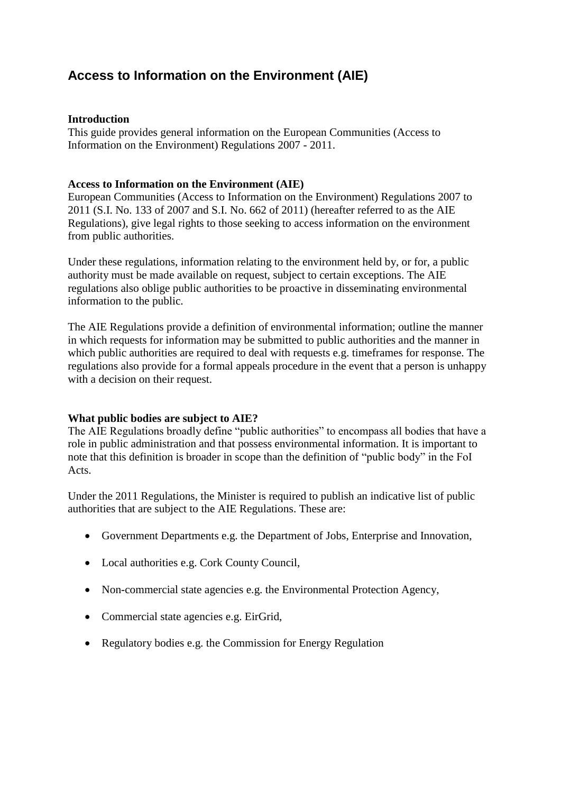# **Access to Information on the Environment (AIE)**

## **Introduction**

This guide provides general information on the European Communities (Access to Information on the Environment) Regulations 2007 - 2011.

## **Access to Information on the Environment (AIE)**

European Communities (Access to Information on the Environment) Regulations 2007 to 2011 (S.I. No. 133 of 2007 and S.I. No. 662 of 2011) (hereafter referred to as the AIE Regulations), give legal rights to those seeking to access information on the environment from public authorities.

Under these regulations, information relating to the environment held by, or for, a public authority must be made available on request, subject to certain exceptions. The AIE regulations also oblige public authorities to be proactive in disseminating environmental information to the public.

The AIE Regulations provide a definition of environmental information; outline the manner in which requests for information may be submitted to public authorities and the manner in which public authorities are required to deal with requests e.g. timeframes for response. The regulations also provide for a formal appeals procedure in the event that a person is unhappy with a decision on their request.

### **What public bodies are subject to AIE?**

The AIE Regulations broadly define "public authorities" to encompass all bodies that have a role in public administration and that possess environmental information. It is important to note that this definition is broader in scope than the definition of "public body" in the FoI Acts.

Under the 2011 Regulations, the Minister is required to publish an indicative list of public authorities that are subject to the AIE Regulations. These are:

- Government Departments e.g. the Department of Jobs, Enterprise and Innovation,
- Local authorities e.g. Cork County Council,
- Non-commercial state agencies e.g. the Environmental Protection Agency,
- Commercial state agencies e.g. EirGrid,
- Regulatory bodies e.g. the Commission for Energy Regulation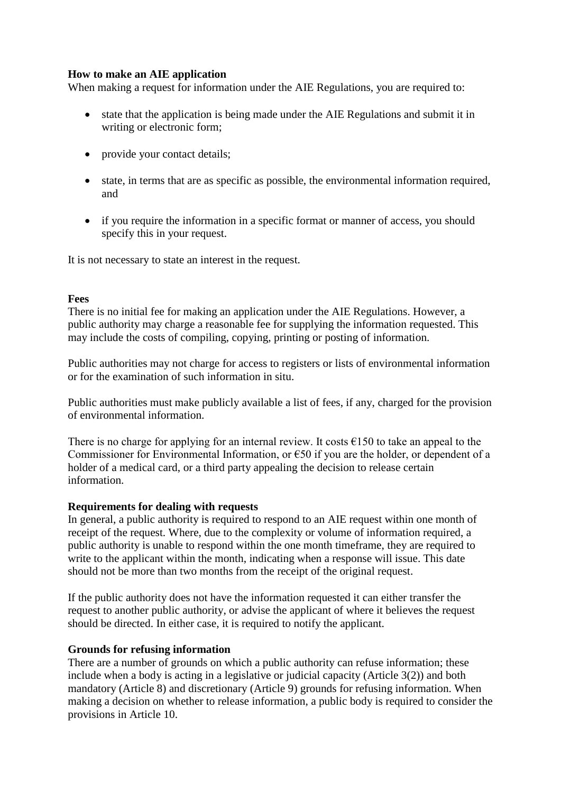## **How to make an AIE application**

When making a request for information under the AIE Regulations, you are required to:

- state that the application is being made under the AIE Regulations and submit it in writing or electronic form;
- provide your contact details;
- state, in terms that are as specific as possible, the environmental information required, and
- if you require the information in a specific format or manner of access, you should specify this in your request.

It is not necessary to state an interest in the request.

### **Fees**

There is no initial fee for making an application under the AIE Regulations. However, a public authority may charge a reasonable fee for supplying the information requested. This may include the costs of compiling, copying, printing or posting of information.

Public authorities may not charge for access to registers or lists of environmental information or for the examination of such information in situ.

Public authorities must make publicly available a list of fees, if any, charged for the provision of environmental information.

There is no charge for applying for an internal review. It costs  $\epsilon$ 150 to take an appeal to the Commissioner for Environmental Information, or  $\epsilon$ 50 if you are the holder, or dependent of a holder of a medical card, or a third party appealing the decision to release certain information.

### **Requirements for dealing with requests**

In general, a public authority is required to respond to an AIE request within one month of receipt of the request. Where, due to the complexity or volume of information required, a public authority is unable to respond within the one month timeframe, they are required to write to the applicant within the month, indicating when a response will issue. This date should not be more than two months from the receipt of the original request.

If the public authority does not have the information requested it can either transfer the request to another public authority, or advise the applicant of where it believes the request should be directed. In either case, it is required to notify the applicant.

### **Grounds for refusing information**

There are a number of grounds on which a public authority can refuse information; these include when a body is acting in a legislative or judicial capacity (Article 3(2)) and both mandatory (Article 8) and discretionary (Article 9) grounds for refusing information. When making a decision on whether to release information, a public body is required to consider the provisions in Article 10.